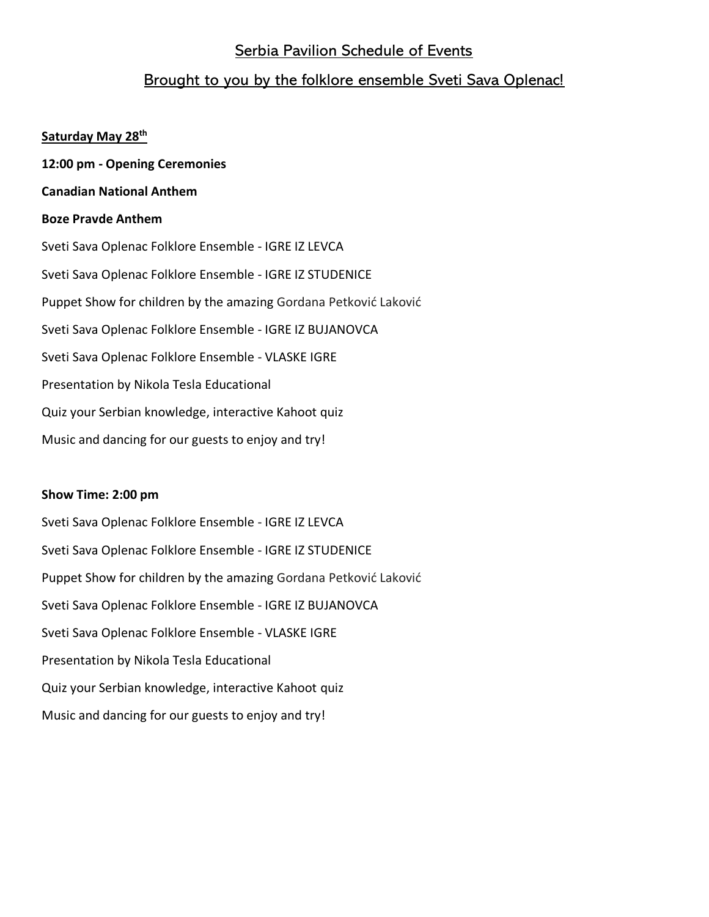# Serbia Pavilion Schedule of Events

# Brought to you by the folklore ensemble Sveti Sava Oplenac!

### **Saturday May 28th**

- **12:00 pm - Opening Ceremonies**
- **Canadian National Anthem**

# **Boze Pravde Anthem**

Sveti Sava Oplenac Folklore Ensemble - IGRE IZ LEVCA Sveti Sava Oplenac Folklore Ensemble - IGRE IZ STUDENICE Puppet Show for children by the amazing Gordana Petković Laković Sveti Sava Oplenac Folklore Ensemble - IGRE IZ BUJANOVCA Sveti Sava Oplenac Folklore Ensemble - VLASKE IGRE Presentation by Nikola Tesla Educational Quiz your Serbian knowledge, interactive Kahoot quiz Music and dancing for our guests to enjoy and try!

## **Show Time: 2:00 pm**

Sveti Sava Oplenac Folklore Ensemble - IGRE IZ LEVCA Sveti Sava Oplenac Folklore Ensemble - IGRE IZ STUDENICE Puppet Show for children by the amazing Gordana Petković Laković Sveti Sava Oplenac Folklore Ensemble - IGRE IZ BUJANOVCA Sveti Sava Oplenac Folklore Ensemble - VLASKE IGRE Presentation by Nikola Tesla Educational Quiz your Serbian knowledge, interactive Kahoot quiz Music and dancing for our guests to enjoy and try!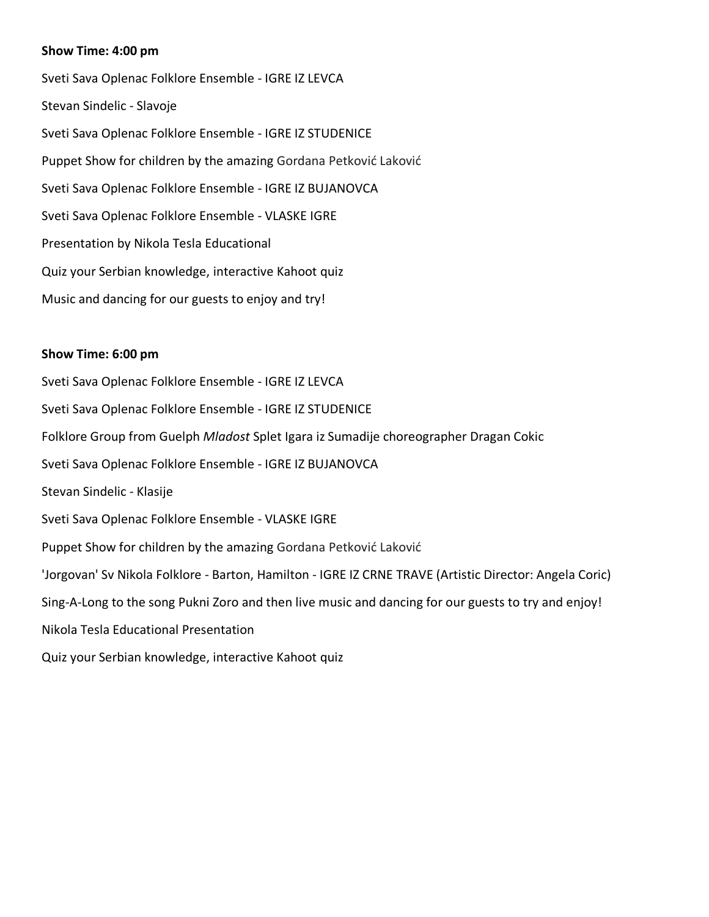### **Show Time: 4:00 pm**

Sveti Sava Oplenac Folklore Ensemble - IGRE IZ LEVCA Stevan Sindelic - Slavoje Sveti Sava Oplenac Folklore Ensemble - IGRE IZ STUDENICE Puppet Show for children by the amazing Gordana Petković Laković Sveti Sava Oplenac Folklore Ensemble - IGRE IZ BUJANOVCA Sveti Sava Oplenac Folklore Ensemble - VLASKE IGRE Presentation by Nikola Tesla Educational Quiz your Serbian knowledge, interactive Kahoot quiz Music and dancing for our guests to enjoy and try!

#### **Show Time: 6:00 pm**

Sveti Sava Oplenac Folklore Ensemble - IGRE IZ LEVCA Sveti Sava Oplenac Folklore Ensemble - IGRE IZ STUDENICE Folklore Group from Guelph *Mladost* Splet Igara iz Sumadije choreographer Dragan Cokic Sveti Sava Oplenac Folklore Ensemble - IGRE IZ BUJANOVCA Stevan Sindelic - Klasije Sveti Sava Oplenac Folklore Ensemble - VLASKE IGRE Puppet Show for children by the amazing Gordana Petković Laković 'Jorgovan' Sv Nikola Folklore - Barton, Hamilton - IGRE IZ CRNE TRAVE (Artistic Director: Angela Coric) Sing-A-Long to the song Pukni Zoro and then live music and dancing for our guests to try and enjoy! Nikola Tesla Educational Presentation Quiz your Serbian knowledge, interactive Kahoot quiz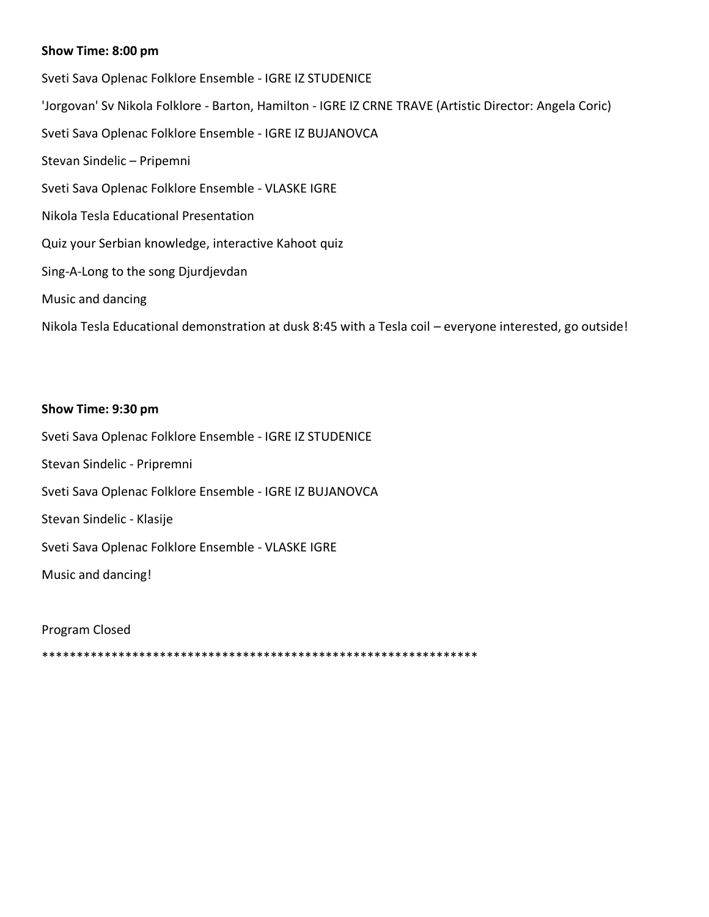# **Show Time: 8:00 pm**

Sveti Sava Oplenac Folklore Ensemble - IGRE IZ STUDENICE 'Jorgovan' Sv Nikola Folklore - Barton, Hamilton - IGRE IZ CRNE TRAVE (Artistic Director: Angela Coric) Sveti Sava Oplenac Folklore Ensemble - IGRE IZ BUJANOVCA Stevan Sindelic – Pripemni Sveti Sava Oplenac Folklore Ensemble - VLASKE IGRE Nikola Tesla Educational Presentation Quiz your Serbian knowledge, interactive Kahoot quiz Sing-A-Long to the song Djurdjevdan Music and dancing Nikola Tesla Educational demonstration at dusk 8:45 with a Tesla coil – everyone interested, go outside!

### **Show Time: 9:30 pm**

Sveti Sava Oplenac Folklore Ensemble - IGRE IZ STUDENICE Stevan Sindelic - Pripremni Sveti Sava Oplenac Folklore Ensemble - IGRE IZ BUJANOVCA Stevan Sindelic - Klasije Sveti Sava Oplenac Folklore Ensemble - VLASKE IGRE Music and dancing!

Program Closed

\*\*\*\*\*\*\*\*\*\*\*\*\*\*\*\*\*\*\*\*\*\*\*\*\*\*\*\*\*\*\*\*\*\*\*\*\*\*\*\*\*\*\*\*\*\*\*\*\*\*\*\*\*\*\*\*\*\*\*\*\*\*\*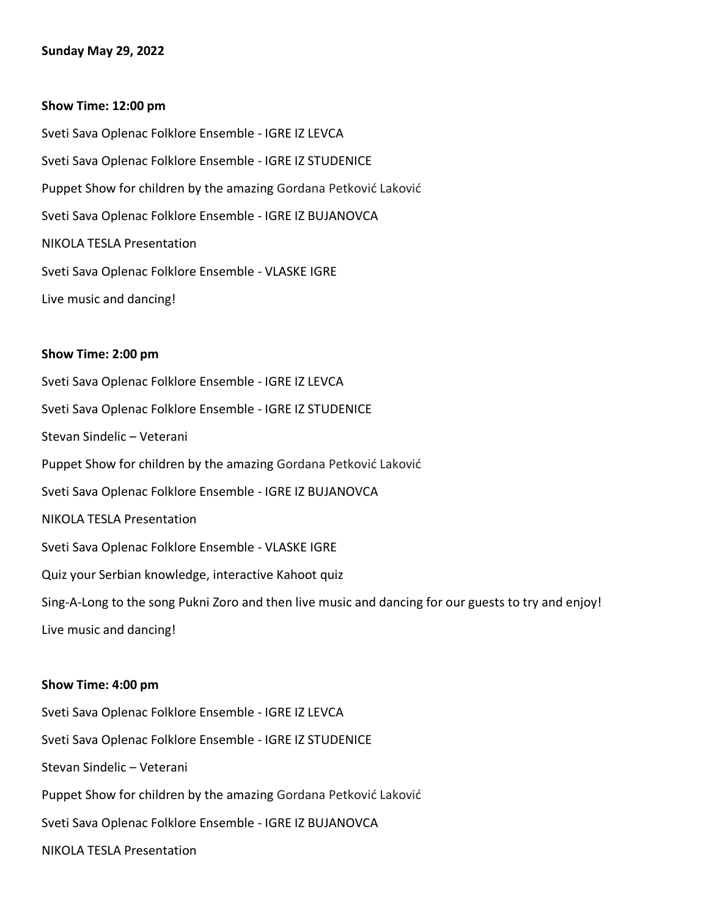### **Sunday May 29, 2022**

#### **Show Time: 12:00 pm**

Sveti Sava Oplenac Folklore Ensemble - IGRE IZ LEVCA Sveti Sava Oplenac Folklore Ensemble - IGRE IZ STUDENICE Puppet Show for children by the amazing Gordana Petković Laković Sveti Sava Oplenac Folklore Ensemble - IGRE IZ BUJANOVCA NIKOLA TESLA Presentation Sveti Sava Oplenac Folklore Ensemble - VLASKE IGRE Live music and dancing!

#### **Show Time: 2:00 pm**

Sveti Sava Oplenac Folklore Ensemble - IGRE IZ LEVCA Sveti Sava Oplenac Folklore Ensemble - IGRE IZ STUDENICE Stevan Sindelic – Veterani Puppet Show for children by the amazing Gordana Petković Laković Sveti Sava Oplenac Folklore Ensemble - IGRE IZ BUJANOVCA NIKOLA TESLA Presentation Sveti Sava Oplenac Folklore Ensemble - VLASKE IGRE Quiz your Serbian knowledge, interactive Kahoot quiz Sing-A-Long to the song Pukni Zoro and then live music and dancing for our guests to try and enjoy! Live music and dancing!

#### **Show Time: 4:00 pm**

Sveti Sava Oplenac Folklore Ensemble - IGRE IZ LEVCA Sveti Sava Oplenac Folklore Ensemble - IGRE IZ STUDENICE Stevan Sindelic – Veterani Puppet Show for children by the amazing Gordana Petković Laković Sveti Sava Oplenac Folklore Ensemble - IGRE IZ BUJANOVCA NIKOLA TESLA Presentation